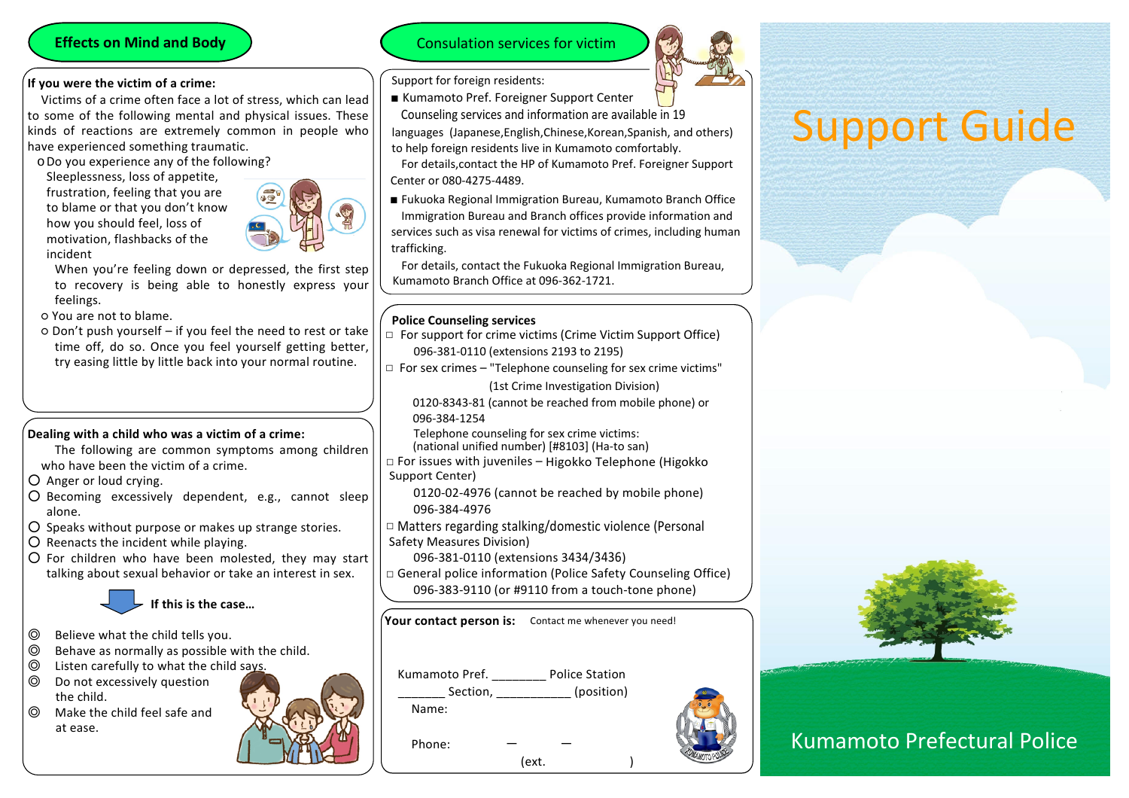# **Effects on Mind and Body**

#### **If you were the victim of a crime:**

Victims of a crime often face a lot of stress, which can lead to some of the following mental and physical issues. These kinds of reactions are extremely common in people who have experienced something traumatic.

oDo you experience any of the following?

Sleeplessness, loss of appetite, frustration, feeling that you are to blame or that you don't know how you should feel, loss of motivation, flashbacks of the incident



When you're feeling down or depressed, the first step to recovery is being able to honestly express your feelings.

○ You are not to blame.

○ Don't push yourself – if you feel the need to rest or take time off, do so. Once you feel yourself getting better, try easing little by little back into your normal routine.

# **Dealing with a child who was a victim of a crime:**

The following are common symptoms among children

- who have been the victim of a crime.
- Anger or loud crying.
- Becoming excessively dependent, e.g., cannot sleep alone.
- Speaks without purpose or makes up strange stories.
- Reenacts the incident while playing.
- $\overline{O}$  For children who have been molested, they may start talking about sexual behavior or take an interest in sex.



- ◎ Believe what the child tells you.
- ◎ Behave as normally as possible with the child.
- ◎ Listen carefully to what the child says.
- ◎ Do not excessively question the child.
- ◎ Make the child feel safe and at ease.



Consulation services for victim

Support for foreign residents:

- Kumamoto Pref. Foreigner Support Center
- Counseling services and information are available in 19
- languages (Japanese,English,Chinese,Korean,Spanish, and others) to help foreign residents live in Kumamoto comfortably.

Center or 080-4275-4489. For details,contact the HP of Kumamoto Pref. Foreigner Support

■ Fukuoka Regional Immigration Bureau, Kumamoto Branch Office services such as visa renewal for victims of crimes, including human trafficking. Immigration Bureau and Branch offices provide information and

For details, contact the Fukuoka Regional Immigration Bureau, Kumamoto Branch Office at 096-362-1721.

# **Police Counseling services**

- $\Box$  For support for crime victims (Crime Victim Support Office) 096-381-0110 (extensions 2193 to 2195)
- $\Box$  For sex crimes "Telephone counseling for sex crime victims"
	- (1st Crime Investigation Division)
	- 0120-8343-81 (cannot be reached from mobile phone) or 096-384-1254
	- Telephone counseling for sex crime victims: (national unified number) [#8103] (Ha-to san)
- □ For issues with juveniles Higokko Telephone (Higokko Support Center)
	- 0120-02-4976 (cannot be reached by mobile phone) 096-384-4976
- □ Matters regarding stalking/domestic violence (Personal Safety Measures Division)
	- 096-381-0110 (extensions 3434/3436)
- □ General police information (Police Safety Counseling Office) 096-383-9110 (or #9110 from a touch-tone phone)

**Your contact person is:** Contact me whenever you need!

| Kumamoto Pref. | Police Station |
|----------------|----------------|
| Section,       | (position)     |
| Name:          |                |
|                |                |

Phone:

(ext.



# Support Guide